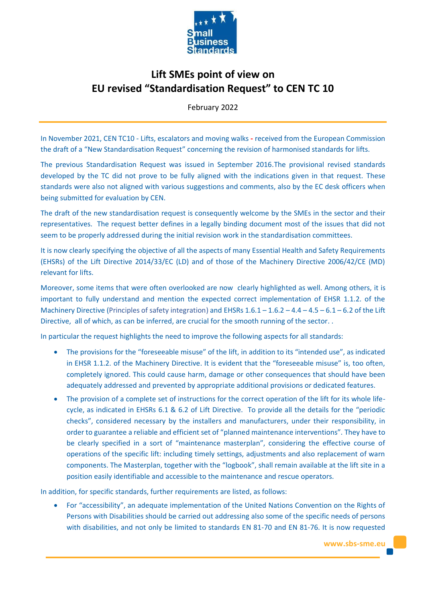

# **Lift SMEs point of view on EU revised "Standardisation Request" to CEN TC 10**

February 2022

In November 2021, CEN TC10 - Lifts, escalators and moving walks **-** received from the European Commission the draft of a "New Standardisation Request" concerning the revision of harmonised standards for lifts.

The previous Standardisation Request was issued in September 2016.The provisional revised standards developed by the TC did not prove to be fully aligned with the indications given in that request. These standards were also not aligned with various suggestions and comments, also by the EC desk officers when being submitted for evaluation by CEN.

The draft of the new standardisation request is consequently welcome by the SMEs in the sector and their representatives. The request better defines in a legally binding document most of the issues that did not seem to be properly addressed during the initial revision work in the standardisation committees.

It is now clearly specifying the objective of all the aspects of many Essential Health and Safety Requirements (EHSRs) of the Lift Directive 2014/33/EC (LD) and of those of the Machinery Directive 2006/42/CE (MD) relevant for lifts.

Moreover, some items that were often overlooked are now clearly highlighted as well. Among others, it is important to fully understand and mention the expected correct implementation of EHSR 1.1.2. of the Machinery Directive (Principles of safety integration) and EHSRs  $1.6.1 - 1.6.2 - 4.4 - 4.5 - 6.1 - 6.2$  of the Lift Directive, all of which, as can be inferred, are crucial for the smooth running of the sector. .

In particular the request highlights the need to improve the following aspects for all standards:

- The provisions for the "foreseeable misuse" of the lift, in addition to its "intended use", as indicated in EHSR 1.1.2. of the Machinery Directive. It is evident that the "foreseeable misuse" is, too often, completely ignored. This could cause harm, damage or other consequences that should have been adequately addressed and prevented by appropriate additional provisions or dedicated features.
- The provision of a complete set of instructions for the correct operation of the lift for its whole lifecycle, as indicated in EHSRs 6.1 & 6.2 of Lift Directive. To provide all the details for the "periodic checks", considered necessary by the installers and manufacturers, under their responsibility, in order to guarantee a reliable and efficient set of "planned maintenance interventions". They have to be clearly specified in a sort of "maintenance masterplan", considering the effective course of operations of the specific lift: including timely settings, adjustments and also replacement of warn components. The Masterplan, together with the "logbook", shall remain available at the lift site in a position easily identifiable and accessible to the maintenance and rescue operators.

In addition, for specific standards, further requirements are listed, as follows:

• For "accessibility", an adequate implementation of the United Nations Convention on the Rights of Persons with Disabilities should be carried out addressing also some of the specific needs of persons with disabilities, and not only be limited to standards EN 81-70 and EN 81-76. It is now requested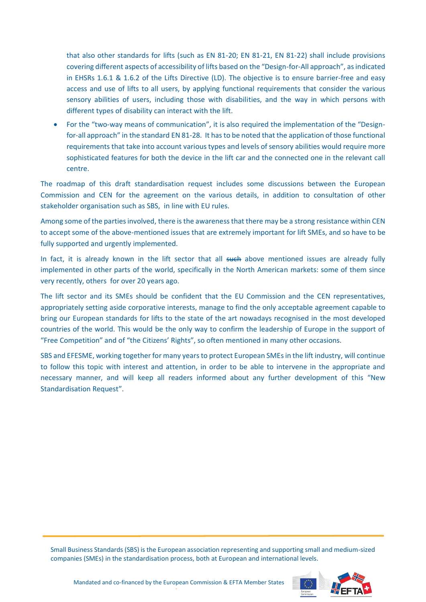that also other standards for lifts (such as EN 81-20; EN 81-21, EN 81-22) shall include provisions covering different aspects of accessibility of lifts based on the "Design-for-All approach", as indicated in EHSRs 1.6.1 & 1.6.2 of the Lifts Directive (LD). The objective is to ensure barrier-free and easy access and use of lifts to all users, by applying functional requirements that consider the various sensory abilities of users, including those with disabilities, and the way in which persons with different types of disability can interact with the lift.

• For the "two-way means of communication", it is also required the implementation of the "Designfor-all approach" in the standard EN 81-28. It has to be noted that the application of those functional requirements that take into account various types and levels of sensory abilities would require more sophisticated features for both the device in the lift car and the connected one in the relevant call centre.

The roadmap of this draft standardisation request includes some discussions between the European Commission and CEN for the agreement on the various details, in addition to consultation of other stakeholder organisation such as SBS, in line with EU rules.

Among some of the parties involved, there is the awareness that there may be a strong resistance within CEN to accept some of the above-mentioned issues that are extremely important for lift SMEs, and so have to be fully supported and urgently implemented.

In fact, it is already known in the lift sector that all such above mentioned issues are already fully implemented in other parts of the world, specifically in the North American markets: some of them since very recently, others for over 20 years ago.

The lift sector and its SMEs should be confident that the EU Commission and the CEN representatives, appropriately setting aside corporative interests, manage to find the only acceptable agreement capable to bring our European standards for lifts to the state of the art nowadays recognised in the most developed countries of the world. This would be the only way to confirm the leadership of Europe in the support of "Free Competition" and of "the Citizens' Rights", so often mentioned in many other occasions.

SBS and EFESME, working together for many years to protect European SMEs in the lift industry, will continue to follow this topic with interest and attention, in order to be able to intervene in the appropriate and necessary manner, and will keep all readers informed about any further development of this "New Standardisation Request".

Small Business Standards (SBS) is the European association representing and supporting small and medium-sized companies (SMEs) in the standardisation process, both at European and international levels.

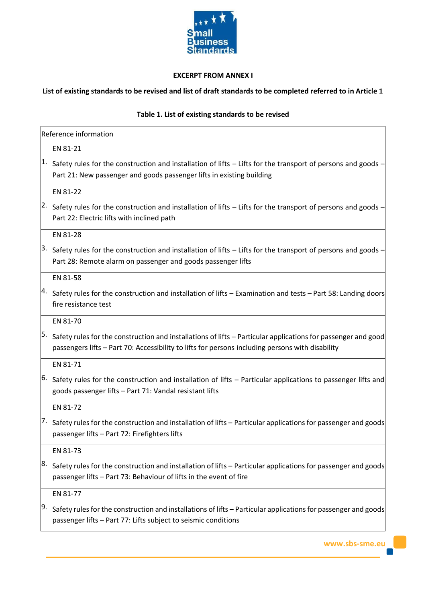

# **EXCERPT FROM ANNEX I**

### **List of existing standards to be revised and list of draft standards to be completed referred to in Article 1**

# **Table 1. List of existing standards to be revised**

|     | Reference information                                                                                                                                                                                             |  |  |
|-----|-------------------------------------------------------------------------------------------------------------------------------------------------------------------------------------------------------------------|--|--|
|     | EN 81-21                                                                                                                                                                                                          |  |  |
| 1.  | Safety rules for the construction and installation of lifts - Lifts for the transport of persons and goods -<br>Part 21: New passenger and goods passenger lifts in existing building                             |  |  |
|     | EN 81-22                                                                                                                                                                                                          |  |  |
| 2.  | Safety rules for the construction and installation of lifts - Lifts for the transport of persons and goods -<br>Part 22: Electric lifts with inclined path                                                        |  |  |
|     | EN 81-28                                                                                                                                                                                                          |  |  |
| 3.  | Safety rules for the construction and installation of lifts – Lifts for the transport of persons and goods –<br>Part 28: Remote alarm on passenger and goods passenger lifts                                      |  |  |
|     | EN 81-58                                                                                                                                                                                                          |  |  |
| 4.  | Safety rules for the construction and installation of lifts - Examination and tests - Part 58: Landing doors<br>fire resistance test                                                                              |  |  |
|     | EN 81-70                                                                                                                                                                                                          |  |  |
| 5.  | Safety rules for the construction and installations of lifts - Particular applications for passenger and good<br>passengers lifts - Part 70: Accessibility to lifts for persons including persons with disability |  |  |
|     | EN 81-71                                                                                                                                                                                                          |  |  |
| 16. | Safety rules for the construction and installation of lifts - Particular applications to passenger lifts and<br>goods passenger lifts - Part 71: Vandal resistant lifts                                           |  |  |
|     | <b>EN 81-72</b>                                                                                                                                                                                                   |  |  |
| 7.  | Safety rules for the construction and installation of lifts – Particular applications for passenger and goods<br>passenger lifts - Part 72: Firefighters lifts                                                    |  |  |
|     | EN 81-73                                                                                                                                                                                                          |  |  |
| 8.  | Safety rules for the construction and installation of lifts – Particular applications for passenger and goods<br>passenger lifts - Part 73: Behaviour of lifts in the event of fire                               |  |  |
|     | EN 81-77                                                                                                                                                                                                          |  |  |
| 9.  | Safety rules for the construction and installations of lifts – Particular applications for passenger and goods<br>passenger lifts - Part 77: Lifts subject to seismic conditions                                  |  |  |